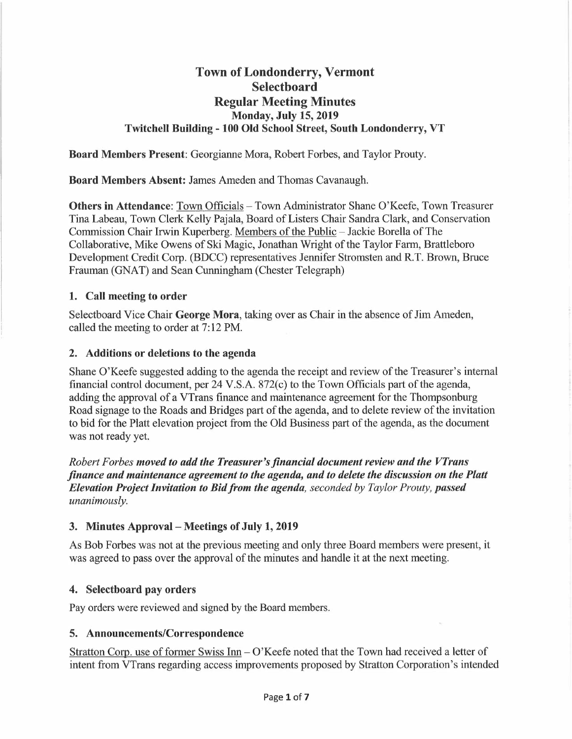# **Town of Londonderry, Vermont Selectboard Regular Meeting Minutes Monday, July 15, 2019 Twitchell Building - 100 Old School Street, South Londonderry, VT**

**Board Members Present:** Georgianne Mora, Robert Forbes, and Taylor Prouty.

**Board Members Absent:** James Ameden and Thomas Cavanaugh.

**Others in Attendance:** Town Officials - Town Administrator Shane O'Keefe, Town Treasurer Tina Labeau, Town Clerk Kelly Pajala, Board of Listers Chair Sandra Clark, and Conservation Commission Chair Irwin Kuperberg. Members of the Public - Jackie Borella of The Collaborative, Mike Owens of Ski Magic, Jonathan Wright of the Taylor Fann, Brattleboro Development Credit Corp. (BDCC) representatives Jennifer Stromsten and R.T. Brown, Bruce Frauman (GNAT) and Sean Cunningham (Chester Telegraph)

### **1. Call meeting to order**

Selectboard Vice Chair **George Mora,** taking over as Chair in the absence of Jim Ameden, called the meeting to order at 7: 12 PM.

#### **2. Additions or deletions to the agenda**

Shane O'Keefe suggested adding to the agenda the receipt and review of the Treasurer's internal financial control document, per 24 V.S.A. 872(c) to the Town Officials part of the agenda, adding the approval of a VTrans finance and maintenance agreement for the Thompsonburg Road signage to the Roads and Bridges part of the agenda, and to delete review of the invitation to bid for the Platt elevation project from the Old Business part of the agenda, as the document was not ready yet.

*Robert Forbes moved to add the Treasurer's financial document review and the VTrans finance and maintenance agreement to the agenda, and to delete the discussion on the Platt Elevation Project Invitation to Bid from the agenda, seconded by Taylor Prouty, passed unanimously.* 

### **3. Minutes Approval - Meetings of July 1, 2019**

As Bob Forbes was not at the previous meeting and only three Board members were present, it was agreed to pass over the approval of the minutes and handle it at the next meeting.

### **4. Selectboard pay orders**

Pay orders were reviewed and signed by the Board members.

### **5. Announcements/Correspondence**

Stratton Corp. use of former Swiss Inn- O'Keefe noted that the Town had received a letter of intent from VTrans regarding access improvements proposed by Stratton Corporation's intended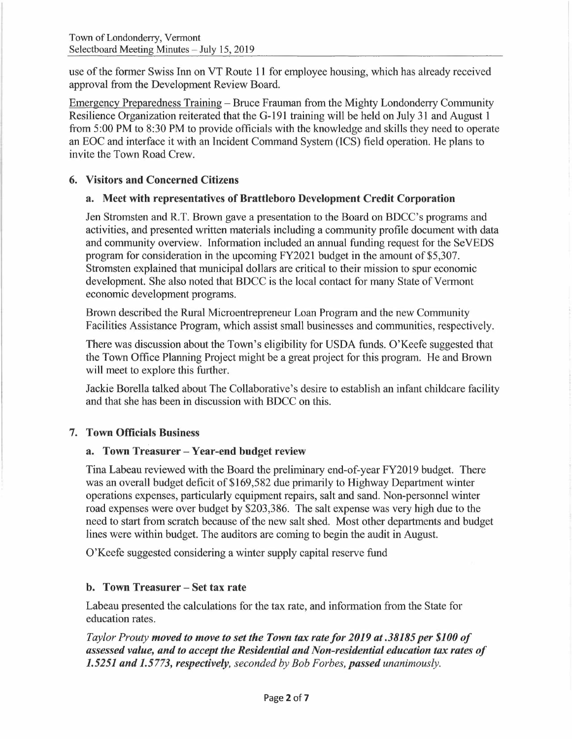use of the former Swiss Inn on VT Route 11 for employee housing, which has already received approval from the Development Review Board.

Emergency Preparedness Training - Bruce Frauman from the Mighty Londonderry Community Resilience Organization reiterated that the G-191 training will be held on July 31 and August 1 from 5:00 PM to 8:30 PM to provide officials with the knowledge and skills they need to operate an EOC and interface it with an Incident Command System (ICS) field operation. He plans to invite the Town Road Crew.

#### **6. Visitors and Concerned Citizens**

#### **a. Meet with representatives of Brattleboro Development Credit Corporation**

Jen Stromsten and R.T. Brown gave a presentation to the Board on BDCC's programs and activities, and presented written materials including a community profile document with data and community overview. Information included an annual funding request for the SeVEDS program for consideration in the upcoming FY2021 budget in the amount of \$5,307. Stromsten explained that municipal dollars are critical to their mission to spur economic development. She also noted that BDCC is the local contact for many State of Vermont economic development programs.

Brown described the Rural Microentrepreneur Loan Program and the new Community Facilities Assistance Program, which assist small businesses and communities, respectively.

There was discussion about the Town's eligibility for USDA funds. O'Keefe suggested that the Town Office Planning Project might be a great project for this program. He and Brown will meet to explore this further.

Jackie Borella talked about The Collaborative's desire to establish an infant childcare facility and that she has been in discussion with BDCC on this.

### 7. **Town Officials Business**

#### **a. Town Treasurer - Year-end budget review**

Tina Labeau reviewed with the Board the preliminary end-of-year FY2019 budget. There was an overall budget deficit of \$169,582 due primarily to Highway Department winter operations expenses, particularly equipment repairs, salt and sand. Non-personnel winter road expenses were over budget by \$203,386. The salt expense was very high due to the need to start from scratch because of the new salt shed. Most other departments and budget lines were within budget. The auditors are coming to begin the audit in August.

O'Keefe suggested considering a winter supply capital reserve fund

### **b. Town Treasurer - Set tax rate**

Labeau presented the calculations for the tax rate, and information from the State for education rates.

*Taylor Prouty moved to move to set the Town tax rate/or 2019 at .38185 per \$100 of assessed value, and to accept the Residential and Non-residential education tax rates of 1.5251 and 1.5773, respectively, seconded by Bob Forbes, passed unanimously.*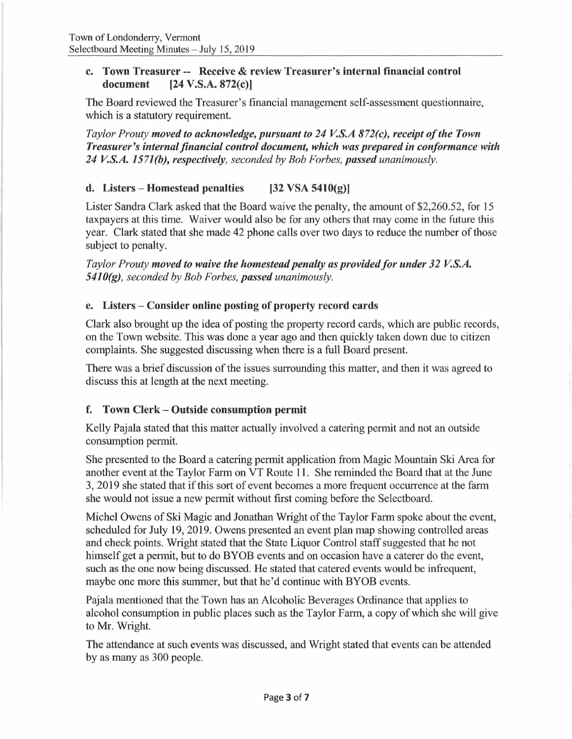#### **c. Town Treasurer -- Receive** & **review Treasurer's internal financial control document [24 V.S.A. 872(c)]**

The Board reviewed the Treasurer's financial management self-assessment questionnaire, which is a statutory requirement.

*Taylor Prouty moved to acknowledge, pursuant to 24 V.S.A 872(c), receipt of the Town Treasurer's internal financial control document, which was prepared in conformance with 24 V.S.A. 1571(b), respectively, seconded by Bob Forbes, passed unanimously.* 

## **d. Listers - Homestead penalties [32 VSA 5410(g)]**

Lister Sandra Clark asked that the Board waive the penalty, the amount of \$2,260.52, for 15 taxpayers at this time. Waiver would also be for any others that may come in the future this year. Clark stated that she made 42 phone calls over two days to reduce the number of those subject to penalty.

*Taylor Prouty moved to waive the homestead penalty as provided for under 32 V.S.A. 5410(g), seconded by Bob Forbes, passed unanimously.* 

#### **e. Listers - Consider online posting of property record cards**

Clark also brought up the idea of posting the property record cards, which are public records, on the Town website. This was done a year ago and then quickly taken down due to citizen complaints. She suggested discussing when there is a full Board present.

There was a brief discussion of the issues surrounding this matter, and then it was agreed to discuss this at length at the next meeting.

### **f. Town Clerk - Outside consumption permit**

Kelly Pajala stated that this matter actually involved a catering permit and not an outside consumption permit,

She presented to the Board a catering permit application from Magic Mountain Ski Area for another event at the Taylor Farm on VT Route 11. She reminded the Board that at the June 3, 2019 she stated that if this sort of event becomes a more frequent occurrence at the farm she would not issue a new permit without first coming before the Selectboard.

Michel Owens of Ski Magic and Jonathan Wright of the Taylor Fann spoke about the event, scheduled for July 19, 2019. Owens presented an event plan map showing controlled areas and check points. Wright stated that the State Liquor Control staff suggested that he not himself get a permit, but to do BYOB events and on occasion have a caterer do the event, such as the one now being discussed. He stated that catered events would be infrequent, maybe one more this summer, but that he'd continue with BYOB events.

Pajala mentioned that the Town has an Alcoholic Beverages Ordinance that applies to alcohol consumption in public places such as the Taylor Farm, a copy of which she will give to Mr. Wright.

The attendance at such events was discussed, and Wright stated that events can be attended by as many as 300 people.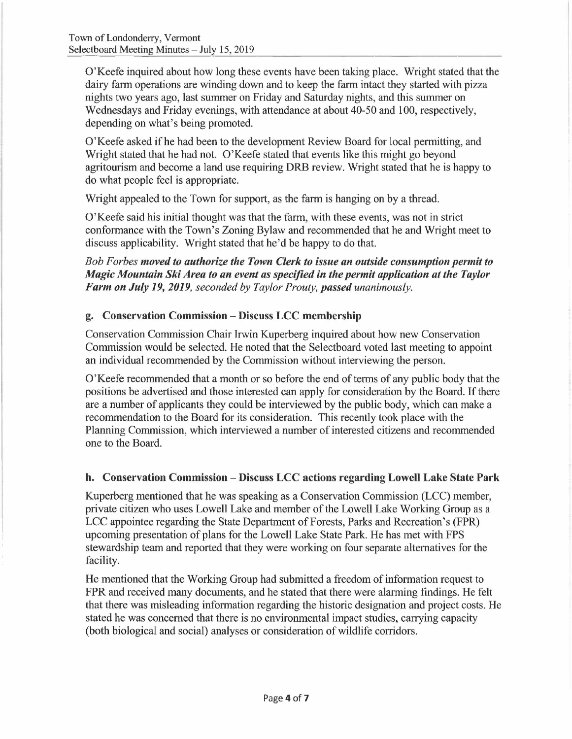O'Keefe inquired about how long these events have been taking place. Wright stated that the dairy farm operations are winding down and to keep the farm intact they started with pizza nights two years ago, last summer on Friday and Saturday nights, and this summer on Wednesdays and Friday evenings, with attendance at about 40-50 and 100, respectively, depending on what's being promoted.

O'Keefe asked ifhe had been to the development Review Board for local permitting, and Wright stated that he had not. O'Keefe stated that events like this might go beyond agritourism and become a land use requiring DRB review. Wright stated that he is happy to do what people feel is appropriate.

Wright appealed to the Town for support, as the farm is hanging on by a thread.

O'Keefe said his initial thought was that the farm, with these events, was not in strict conformance with the Town's Zoning Bylaw and recommended that he and Wright meet to discuss applicability. Wright stated that he'd be happy to do that.

*Bob Forbes moved to authorize the Town Clerk to issue an outside consumption permit to Magic Mountain Ski Area to an event as specified in the permit application at the Taylor Farm on July 19, 2019, seconded by Taylor Prouty, passed unanimously.* 

### **g. Conservation Commission - Discuss LCC membership**

Conservation Commission Chair Irwin Kuperberg inquired about how new Conservation Commission would be selected. He noted that the Selectboard voted last meeting to appoint an individual recommended by the Commission without interviewing the person.

O'Keefe recommended that a month or so before the end of terms of any public body that the positions be advertised and those interested can apply for consideration by the Board. If there are a number of applicants they could be interviewed by the public body, which can make a recommendation to the Board for its consideration. This recently took place with the Planning Commission, which interviewed a number of interested citizens and recommended one to the Board.

### **h. Conservation Commission - Discuss LCC actions regarding Lowell Lake State Park**

Kuperberg mentioned that he was speaking as a Conservation Commission (LCC) member, private citizen who uses Lowell Lake and member of the Lowell Lake Working Group as a LCC appointee regarding the State Department of Forests, Parks and Recreation's (FPR) upcoming presentation of plans for the Lowell Lake State Park. He has met with FPS stewardship team and reported that they were working on four separate alternatives for the facility.

He mentioned that the Working Group had submitted a freedom of information request to FPR and received many documents, and he stated that there were alarming findings. He felt that there was misleading information regarding the historic designation and project costs. He stated he was concerned that there is no environmental impact studies, carrying capacity (both biological and social) analyses or consideration of wildlife corridors.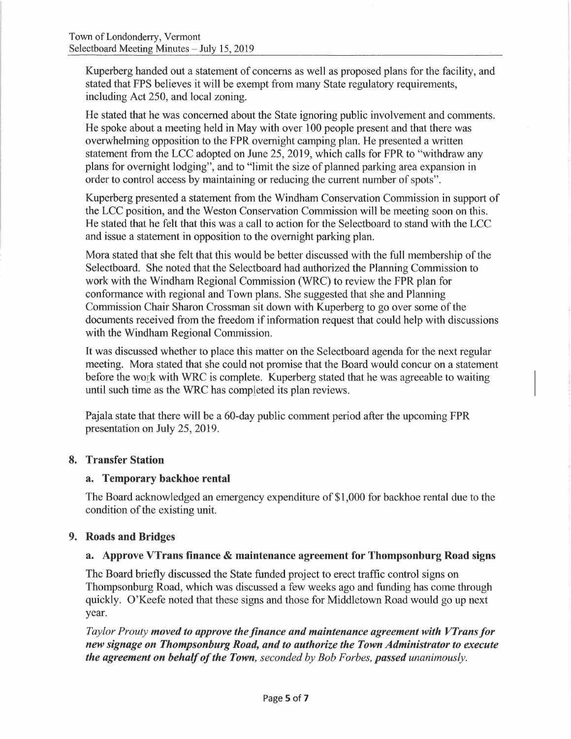Kuperberg handed out a statement of concerns as well as proposed plans for the facility, and stated that FPS believes it will be exempt from many State regulatory requirements, including Act 250, and local zoning.

He stated that he was concerned about the State ignoring public involvement and comments. He spoke about a meeting held in May with over 100 people present and that there was overw helming opposition to the FPR overnight camping plan. He presented a written statement from the LCC adopted on June 25, 2019, which calls for FPR to "withdraw any plans for overnight lodging", and to "limit the size of planned parking area expansion in order to control access by maintaining or reducing the current number of spots".

Kuperberg presented a statement from the Windham Conservation Commission in support of the LCC position, and the Weston Conservation Commission will be meeting soon on this. He stated that he felt that this was a call to action for the Selectboard to stand with the LCC and issue a statement in opposition to the overnight parking plan.

Mora stated that she felt that this would be better discussed with the full membership of the Selectboard. She noted that the Selectboard had authorized the Planning Commission to work with the Windham Regional Commission (WRC) to review the FPR plan for conformance with regional and Town plans. She suggested that she and Planning Commission Chair Sharon Crossman sit down with Kuperberg to go over some of the documents received from the freedom if information request that could help with discussions with the Windham Regional Commission.

It was discussed whether to place this matter on the Selectboard agenda for the next regular meeting. Mora stated that she could not promise that the Board would concur on a statement before the work with WRC is complete. Kuperberg stated that he was agreeable to waiting until such time as the WRC has completed its plan reviews.

Pajala state that there will be a 60-day public comment period after the upcoming FPR presentation on July 25, 2019.

#### **8. Transfer Station**

#### **a. Temporary backhoe rental**

The Board acknowledged an emergency expenditure of \$1,000 for backhoe rental due to the condition of the existing unit.

### **9. Roads and Bridges**

#### **a. Approve VTrans finance** & **maintenance agreement for Thompsonburg Road signs**

The Board briefly discussed the State funded project to erect traffic control signs on Thompsonburg Road, which was discussed a few weeks ago and funding has come through quickly. O'Keefe noted that these signs and those for Middletown Road would go up next year.

*Taylor Prouty moved to approve the finance and maintenance agreement with VTrans for new signage on Thompsonburg Road, and to authorize the Town Administrator to execute the agreement on behalf of the Town, seconded by Bob Forbes, passed unanimously.*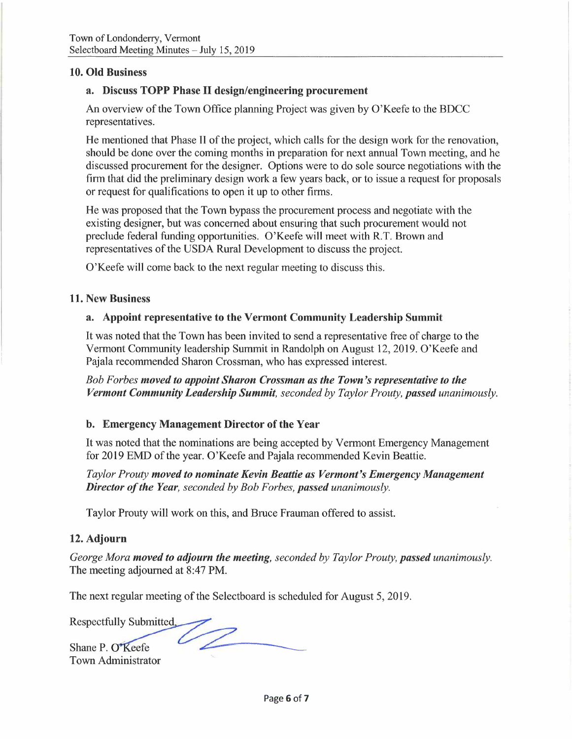#### **10. Old Business**

#### **a. Discuss TOPP Phase** II **design/engineering procurement**

An overview of the Town Office planning Project was given by O'Keefe to the BDCC representatives.

He mentioned that Phase II of the project, which calls for the design work for the renovation, should be done over the coming months in preparation for next annual Town meeting, and he discussed procurement for the designer. Options were to do sole source negotiations with the firm that did the preliminary design work a few years back, or to issue a request for proposals or request for qualifications to open it up to other firms.

He was proposed that the Town bypass the procurement process and negotiate with the existing designer, but was concerned about ensuring that such procurement would not preclude federal funding opportunities. O'Keefe will meet with R.T. Brown and representatives of the USDA Rural Development to discuss the project.

O'Keefe will come back to the next regular meeting to discuss this.

#### **11. New Business**

#### **a. Appoint representative to the Vermont Community Leadership Summit**

It was noted that the Town has been invited to send a representative free of charge to the Vermont Community leadership Summit in Randolph on August 12, 2019. O'Keefe and Pajala recommended Sharon Crossman, who has expressed interest.

*Bob Forbes moved to appoint Sharon Crossman as the Town's representative to the Vermont Community Leadership Summit, seconded by Taylor Prouty, passed unanimously.* 

#### **b. Emergency Management Director of the Year**

It was noted that the nominations are being accepted by Vermont Emergency Management for 2019 EMD of the year. O'Keefe and Pajala recommended Kevin Beattie.

*Taylor Prouty moved to nominate Kevin Beattie as Vermont's Emergency Management Director of the Year, seconded by Bob Forbes, passed unanimously.* 

Taylor Prouty will work on this, and Bruce Frauman offered to assist.

#### **12. Adjourn**

*George Mora moved to adjourn the meeting, seconded by Taylor Prouty, passed unanimously.*  The meeting adjourned at 8:47 PM.

The next regular meeting of the Selectboard is scheduled for August 5, 2019.

Respectfully Submitted

Town Administrator